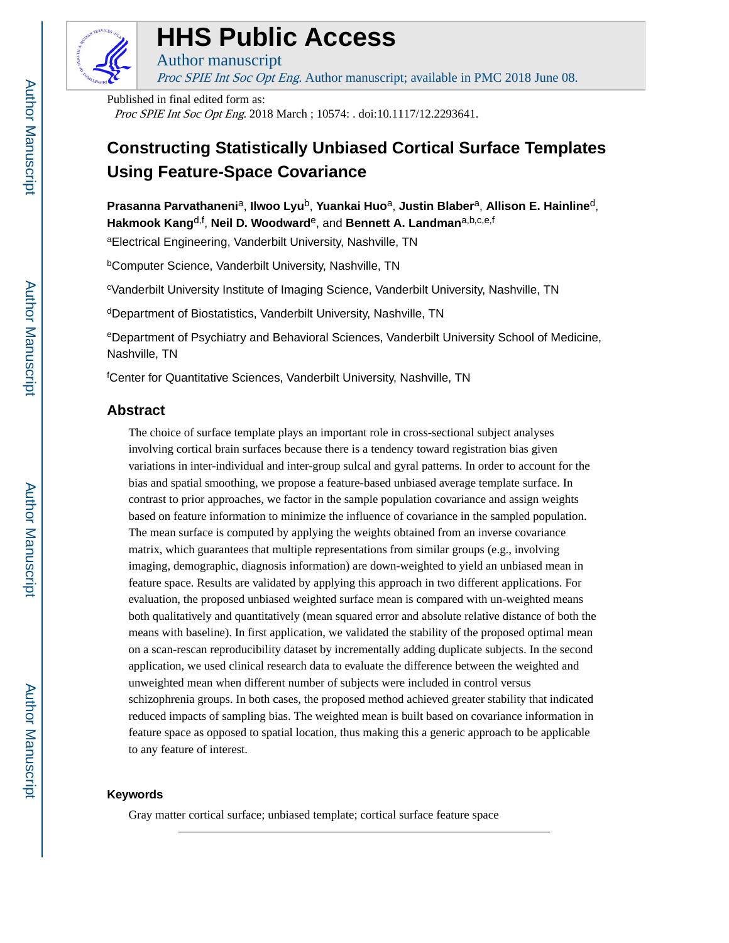

# **HHS Public Access**

Author manuscript Proc SPIE Int Soc Opt Eng. Author manuscript; available in PMC 2018 June 08.

Published in final edited form as: Proc SPIE Int Soc Opt Eng. 2018 March ; 10574: . doi:10.1117/12.2293641.

# **Constructing Statistically Unbiased Cortical Surface Templates Using Feature-Space Covariance**

**Prasanna Parvathaneni**a, **Ilwoo Lyu**b, **Yuankai Huo**a, **Justin Blaber**a, **Allison E. Hainline**d, **Hakmook Kang**d,f , **Neil D. Woodward**e, and **Bennett A. Landman**a,b,c,e,f

aElectrical Engineering, Vanderbilt University, Nashville, TN

**bComputer Science, Vanderbilt University, Nashville, TN** 

<sup>c</sup>Vanderbilt University Institute of Imaging Science, Vanderbilt University, Nashville, TN

<sup>d</sup>Department of Biostatistics, Vanderbilt University, Nashville, TN

<sup>e</sup>Department of Psychiatry and Behavioral Sciences, Vanderbilt University School of Medicine, Nashville, TN

<sup>f</sup>Center for Quantitative Sciences, Vanderbilt University, Nashville, TN

# **Abstract**

The choice of surface template plays an important role in cross-sectional subject analyses involving cortical brain surfaces because there is a tendency toward registration bias given variations in inter-individual and inter-group sulcal and gyral patterns. In order to account for the bias and spatial smoothing, we propose a feature-based unbiased average template surface. In contrast to prior approaches, we factor in the sample population covariance and assign weights based on feature information to minimize the influence of covariance in the sampled population. The mean surface is computed by applying the weights obtained from an inverse covariance matrix, which guarantees that multiple representations from similar groups (e.g., involving imaging, demographic, diagnosis information) are down-weighted to yield an unbiased mean in feature space. Results are validated by applying this approach in two different applications. For evaluation, the proposed unbiased weighted surface mean is compared with un-weighted means both qualitatively and quantitatively (mean squared error and absolute relative distance of both the means with baseline). In first application, we validated the stability of the proposed optimal mean on a scan-rescan reproducibility dataset by incrementally adding duplicate subjects. In the second application, we used clinical research data to evaluate the difference between the weighted and unweighted mean when different number of subjects were included in control versus schizophrenia groups. In both cases, the proposed method achieved greater stability that indicated reduced impacts of sampling bias. The weighted mean is built based on covariance information in feature space as opposed to spatial location, thus making this a generic approach to be applicable to any feature of interest.

# **Keywords**

Gray matter cortical surface; unbiased template; cortical surface feature space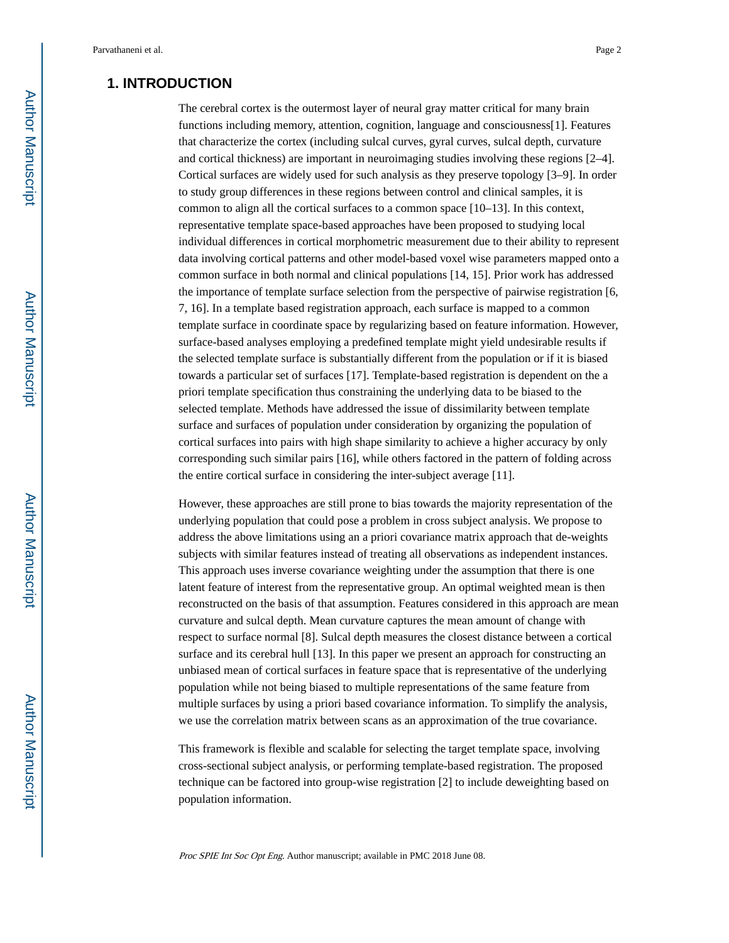# **1. INTRODUCTION**

The cerebral cortex is the outermost layer of neural gray matter critical for many brain functions including memory, attention, cognition, language and consciousness[1]. Features that characterize the cortex (including sulcal curves, gyral curves, sulcal depth, curvature and cortical thickness) are important in neuroimaging studies involving these regions [2–4]. Cortical surfaces are widely used for such analysis as they preserve topology [3–9]. In order to study group differences in these regions between control and clinical samples, it is common to align all the cortical surfaces to a common space [10–13]. In this context, representative template space-based approaches have been proposed to studying local individual differences in cortical morphometric measurement due to their ability to represent data involving cortical patterns and other model-based voxel wise parameters mapped onto a common surface in both normal and clinical populations [14, 15]. Prior work has addressed the importance of template surface selection from the perspective of pairwise registration [6, 7, 16]. In a template based registration approach, each surface is mapped to a common template surface in coordinate space by regularizing based on feature information. However, surface-based analyses employing a predefined template might yield undesirable results if the selected template surface is substantially different from the population or if it is biased towards a particular set of surfaces [17]. Template-based registration is dependent on the a priori template specification thus constraining the underlying data to be biased to the selected template. Methods have addressed the issue of dissimilarity between template surface and surfaces of population under consideration by organizing the population of cortical surfaces into pairs with high shape similarity to achieve a higher accuracy by only corresponding such similar pairs [16], while others factored in the pattern of folding across the entire cortical surface in considering the inter-subject average [11].

However, these approaches are still prone to bias towards the majority representation of the underlying population that could pose a problem in cross subject analysis. We propose to address the above limitations using an a priori covariance matrix approach that de-weights subjects with similar features instead of treating all observations as independent instances. This approach uses inverse covariance weighting under the assumption that there is one latent feature of interest from the representative group. An optimal weighted mean is then reconstructed on the basis of that assumption. Features considered in this approach are mean curvature and sulcal depth. Mean curvature captures the mean amount of change with respect to surface normal [8]. Sulcal depth measures the closest distance between a cortical surface and its cerebral hull [13]. In this paper we present an approach for constructing an unbiased mean of cortical surfaces in feature space that is representative of the underlying population while not being biased to multiple representations of the same feature from multiple surfaces by using a priori based covariance information. To simplify the analysis, we use the correlation matrix between scans as an approximation of the true covariance.

This framework is flexible and scalable for selecting the target template space, involving cross-sectional subject analysis, or performing template-based registration. The proposed technique can be factored into group-wise registration [2] to include deweighting based on population information.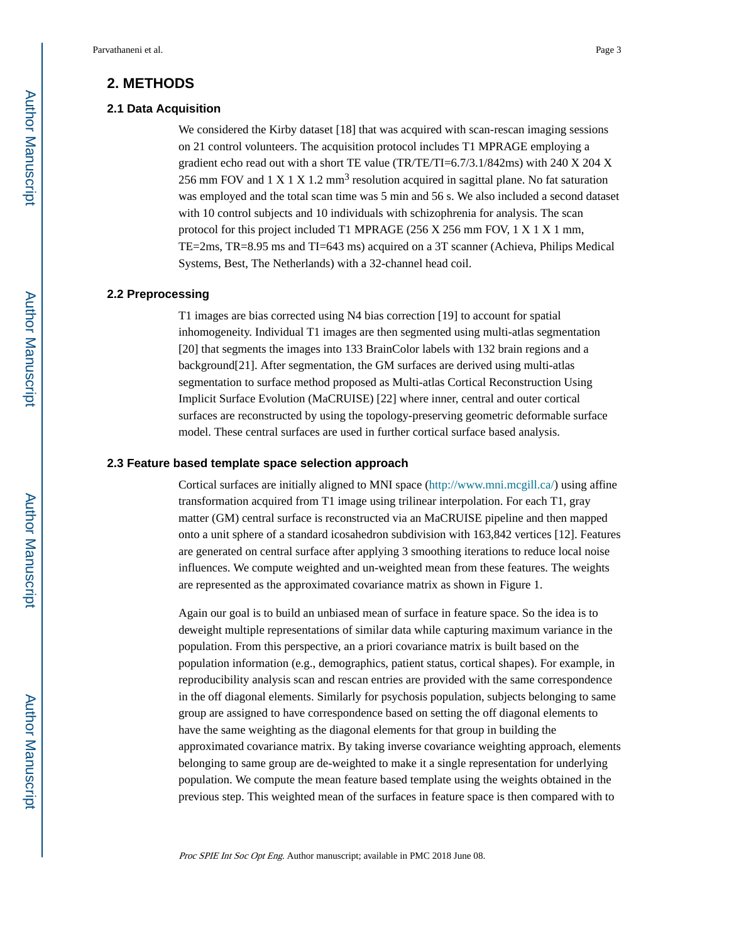# **2. METHODS**

#### **2.1 Data Acquisition**

We considered the Kirby dataset [18] that was acquired with scan-rescan imaging sessions on 21 control volunteers. The acquisition protocol includes T1 MPRAGE employing a gradient echo read out with a short TE value (TR/TE/TI=6.7/3.1/842ms) with 240 X 204 X 256 mm FOV and 1 X 1 X 1.2 mm<sup>3</sup> resolution acquired in sagittal plane. No fat saturation was employed and the total scan time was 5 min and 56 s. We also included a second dataset with 10 control subjects and 10 individuals with schizophrenia for analysis. The scan protocol for this project included T1 MPRAGE (256 X 256 mm FOV, 1 X 1 X 1 mm, TE=2ms, TR=8.95 ms and TI=643 ms) acquired on a 3T scanner (Achieva, Philips Medical Systems, Best, The Netherlands) with a 32-channel head coil.

#### **2.2 Preprocessing**

T1 images are bias corrected using N4 bias correction [19] to account for spatial inhomogeneity. Individual T1 images are then segmented using multi-atlas segmentation [20] that segments the images into 133 BrainColor labels with 132 brain regions and a background[21]. After segmentation, the GM surfaces are derived using multi-atlas segmentation to surface method proposed as Multi-atlas Cortical Reconstruction Using Implicit Surface Evolution (MaCRUISE) [22] where inner, central and outer cortical surfaces are reconstructed by using the topology-preserving geometric deformable surface model. These central surfaces are used in further cortical surface based analysis.

#### **2.3 Feature based template space selection approach**

Cortical surfaces are initially aligned to MNI space [\(http://www.mni.mcgill.ca/\)](http://www.mni.mcgill.ca/) using affine transformation acquired from T1 image using trilinear interpolation. For each T1, gray matter (GM) central surface is reconstructed via an MaCRUISE pipeline and then mapped onto a unit sphere of a standard icosahedron subdivision with 163,842 vertices [12]. Features are generated on central surface after applying 3 smoothing iterations to reduce local noise influences. We compute weighted and un-weighted mean from these features. The weights are represented as the approximated covariance matrix as shown in Figure 1.

Again our goal is to build an unbiased mean of surface in feature space. So the idea is to deweight multiple representations of similar data while capturing maximum variance in the population. From this perspective, an a priori covariance matrix is built based on the population information (e.g., demographics, patient status, cortical shapes). For example, in reproducibility analysis scan and rescan entries are provided with the same correspondence in the off diagonal elements. Similarly for psychosis population, subjects belonging to same group are assigned to have correspondence based on setting the off diagonal elements to have the same weighting as the diagonal elements for that group in building the approximated covariance matrix. By taking inverse covariance weighting approach, elements belonging to same group are de-weighted to make it a single representation for underlying population. We compute the mean feature based template using the weights obtained in the previous step. This weighted mean of the surfaces in feature space is then compared with to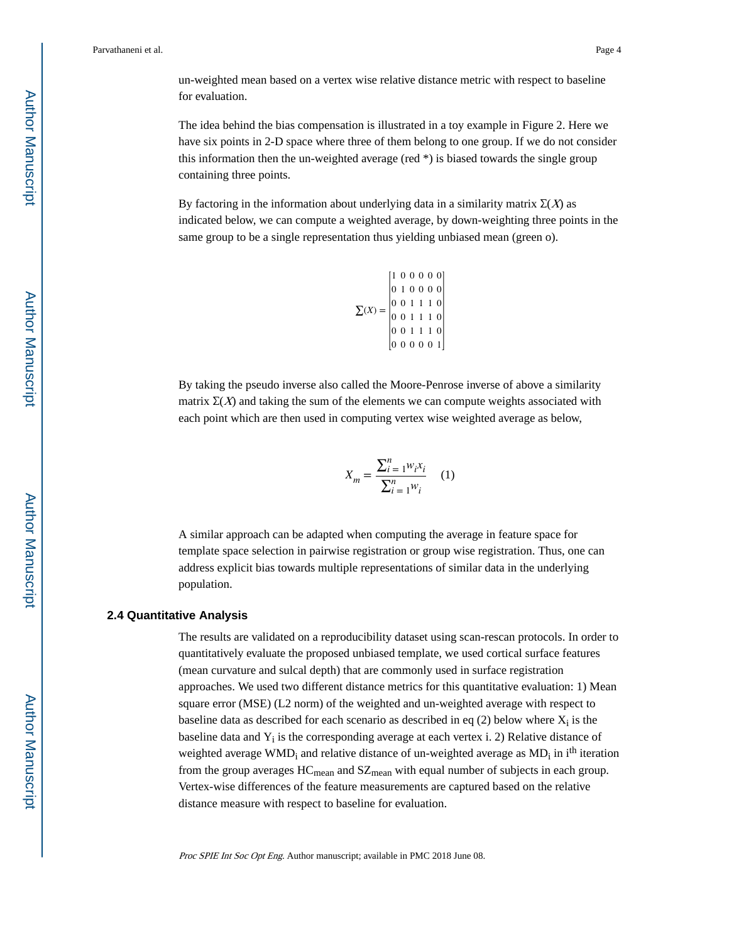un-weighted mean based on a vertex wise relative distance metric with respect to baseline for evaluation.

The idea behind the bias compensation is illustrated in a toy example in Figure 2. Here we have six points in 2-D space where three of them belong to one group. If we do not consider this information then the un-weighted average (red  $*$ ) is biased towards the single group containing three points.

By factoring in the information about underlying data in a similarity matrix  $\Sigma(X)$  as indicated below, we can compute a weighted average, by down-weighting three points in the same group to be a single representation thus yielding unbiased mean (green o).

$$
\sum(X) = \begin{bmatrix} 1 & 0 & 0 & 0 & 0 & 0 \\ 0 & 1 & 0 & 0 & 0 & 0 \\ 0 & 0 & 1 & 1 & 1 & 0 \\ 0 & 0 & 1 & 1 & 1 & 0 \\ 0 & 0 & 1 & 1 & 1 & 0 \\ 0 & 0 & 1 & 1 & 1 & 0 \\ 0 & 0 & 0 & 0 & 0 & 1 \end{bmatrix}
$$

By taking the pseudo inverse also called the Moore-Penrose inverse of above a similarity matrix  $\Sigma(X)$  and taking the sum of the elements we can compute weights associated with each point which are then used in computing vertex wise weighted average as below,

$$
X_m = \frac{\sum_{i=1}^{n} w_i x_i}{\sum_{i=1}^{n} w_i}
$$
 (1)

A similar approach can be adapted when computing the average in feature space for template space selection in pairwise registration or group wise registration. Thus, one can address explicit bias towards multiple representations of similar data in the underlying population.

#### **2.4 Quantitative Analysis**

The results are validated on a reproducibility dataset using scan-rescan protocols. In order to quantitatively evaluate the proposed unbiased template, we used cortical surface features (mean curvature and sulcal depth) that are commonly used in surface registration approaches. We used two different distance metrics for this quantitative evaluation: 1) Mean square error (MSE) (L2 norm) of the weighted and un-weighted average with respect to baseline data as described for each scenario as described in eq  $(2)$  below where  $X_i$  is the baseline data and Y<sub>i</sub> is the corresponding average at each vertex i. 2) Relative distance of weighted average WMD<sub>i</sub> and relative distance of un-weighted average as MD<sub>i</sub> in i<sup>th</sup> iteration from the group averages  $HC_{mean}$  and  $SZ_{mean}$  with equal number of subjects in each group. Vertex-wise differences of the feature measurements are captured based on the relative distance measure with respect to baseline for evaluation.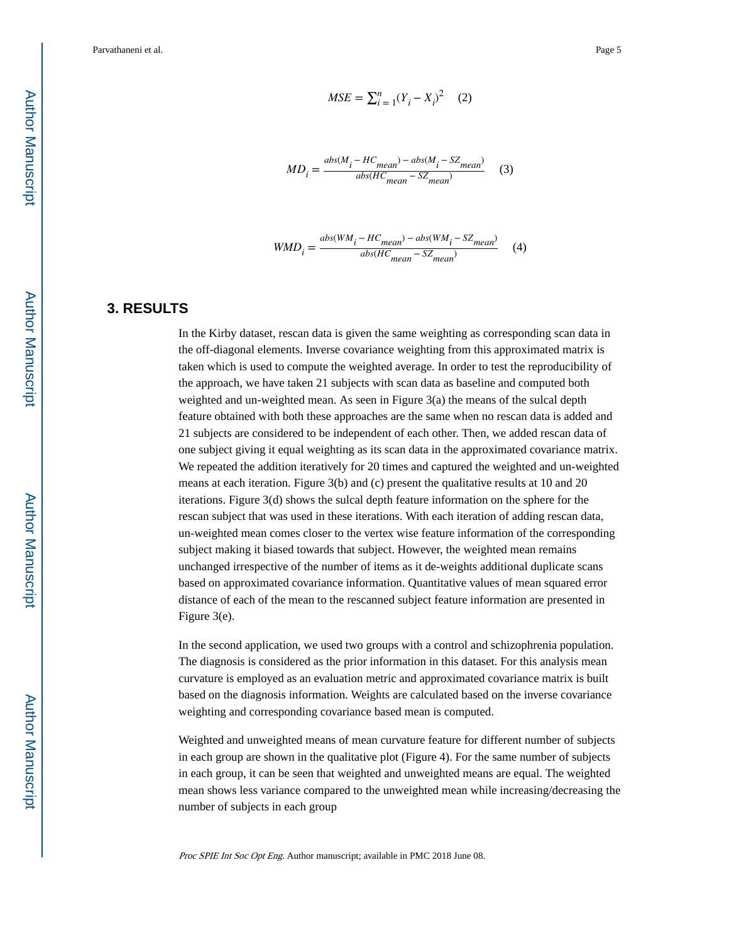$$
MSE = \sum_{i=1}^{n} (Y_i - X_i)^2
$$
 (2)

$$
MD_i = \frac{abs(M_i - HC_{mean}) - abs(M_i - SZ_{mean})}{abs(HC_{mean} - SZ_{mean})}
$$
 (3)

$$
WMD_i = \frac{abs(WM_i - HC_{mean}) - abs(WM_i - SZ_{mean})}{abs(HC_{mean} - SZ_{mean})}
$$
 (4)

# **3. RESULTS**

In the Kirby dataset, rescan data is given the same weighting as corresponding scan data in the off-diagonal elements. Inverse covariance weighting from this approximated matrix is taken which is used to compute the weighted average. In order to test the reproducibility of the approach, we have taken 21 subjects with scan data as baseline and computed both weighted and un-weighted mean. As seen in Figure 3(a) the means of the sulcal depth feature obtained with both these approaches are the same when no rescan data is added and 21 subjects are considered to be independent of each other. Then, we added rescan data of one subject giving it equal weighting as its scan data in the approximated covariance matrix. We repeated the addition iteratively for 20 times and captured the weighted and un-weighted means at each iteration. Figure 3(b) and (c) present the qualitative results at 10 and 20 iterations. Figure 3(d) shows the sulcal depth feature information on the sphere for the rescan subject that was used in these iterations. With each iteration of adding rescan data, un-weighted mean comes closer to the vertex wise feature information of the corresponding subject making it biased towards that subject. However, the weighted mean remains unchanged irrespective of the number of items as it de-weights additional duplicate scans based on approximated covariance information. Quantitative values of mean squared error distance of each of the mean to the rescanned subject feature information are presented in Figure 3(e).

In the second application, we used two groups with a control and schizophrenia population. The diagnosis is considered as the prior information in this dataset. For this analysis mean curvature is employed as an evaluation metric and approximated covariance matrix is built based on the diagnosis information. Weights are calculated based on the inverse covariance weighting and corresponding covariance based mean is computed.

Weighted and unweighted means of mean curvature feature for different number of subjects in each group are shown in the qualitative plot (Figure 4). For the same number of subjects in each group, it can be seen that weighted and unweighted means are equal. The weighted mean shows less variance compared to the unweighted mean while increasing/decreasing the number of subjects in each group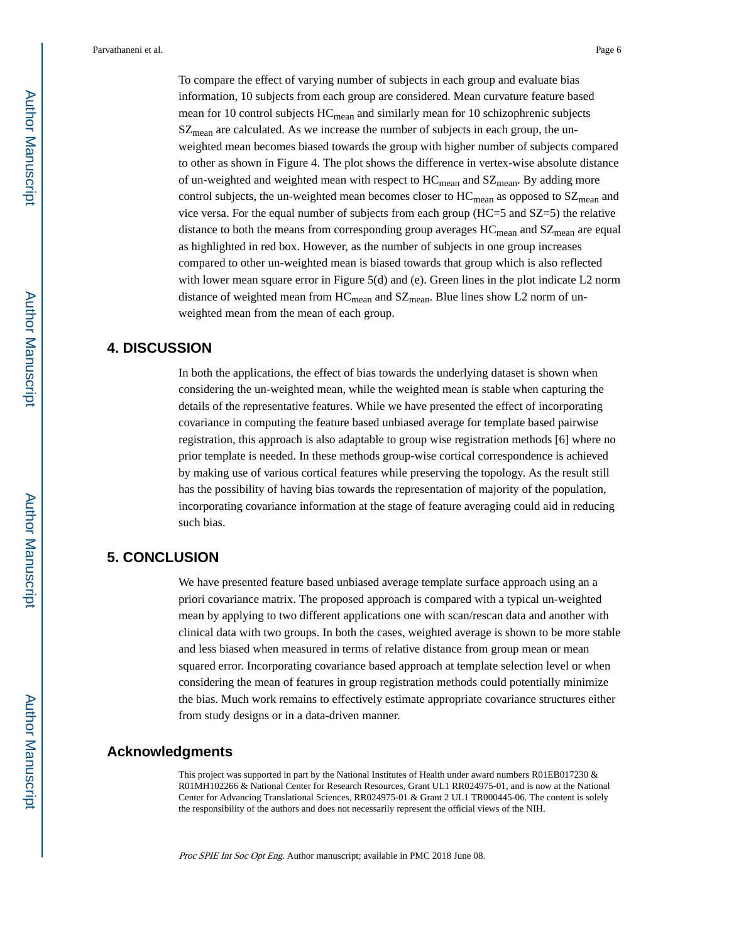To compare the effect of varying number of subjects in each group and evaluate bias information, 10 subjects from each group are considered. Mean curvature feature based mean for 10 control subjects  $HC_{mean}$  and similarly mean for 10 schizophrenic subjects SZ<sub>mean</sub> are calculated. As we increase the number of subjects in each group, the unweighted mean becomes biased towards the group with higher number of subjects compared to other as shown in Figure 4. The plot shows the difference in vertex-wise absolute distance of un-weighted and weighted mean with respect to  $HC_{mean}$  and  $SZ_{mean}$ . By adding more control subjects, the un-weighted mean becomes closer to  $HC_{mean}$  as opposed to  $SZ_{mean}$  and vice versa. For the equal number of subjects from each group (HC=5 and SZ=5) the relative distance to both the means from corresponding group averages  $HC_{mean}$  and  $SZ_{mean}$  are equal as highlighted in red box. However, as the number of subjects in one group increases compared to other un-weighted mean is biased towards that group which is also reflected with lower mean square error in Figure 5(d) and (e). Green lines in the plot indicate L2 norm distance of weighted mean from  $HC_{mean}$  and  $SZ_{mean}$ . Blue lines show L2 norm of unweighted mean from the mean of each group.

# **4. DISCUSSION**

In both the applications, the effect of bias towards the underlying dataset is shown when considering the un-weighted mean, while the weighted mean is stable when capturing the details of the representative features. While we have presented the effect of incorporating covariance in computing the feature based unbiased average for template based pairwise registration, this approach is also adaptable to group wise registration methods [6] where no prior template is needed. In these methods group-wise cortical correspondence is achieved by making use of various cortical features while preserving the topology. As the result still has the possibility of having bias towards the representation of majority of the population, incorporating covariance information at the stage of feature averaging could aid in reducing such bias.

# **5. CONCLUSION**

We have presented feature based unbiased average template surface approach using an a priori covariance matrix. The proposed approach is compared with a typical un-weighted mean by applying to two different applications one with scan/rescan data and another with clinical data with two groups. In both the cases, weighted average is shown to be more stable and less biased when measured in terms of relative distance from group mean or mean squared error. Incorporating covariance based approach at template selection level or when considering the mean of features in group registration methods could potentially minimize the bias. Much work remains to effectively estimate appropriate covariance structures either from study designs or in a data-driven manner.

### **Acknowledgments**

This project was supported in part by the National Institutes of Health under award numbers R01EB017230  $\&$ R01MH102266 & National Center for Research Resources, Grant UL1 RR024975-01, and is now at the National Center for Advancing Translational Sciences, RR024975-01 & Grant 2 UL1 TR000445-06. The content is solely the responsibility of the authors and does not necessarily represent the official views of the NIH.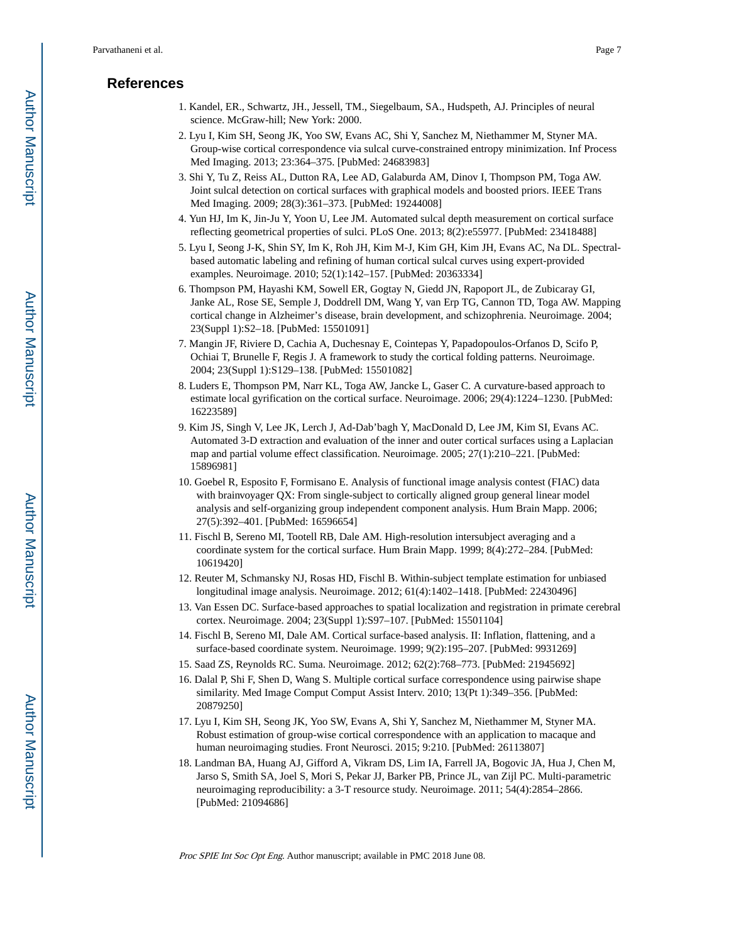# **References**

- 1. Kandel, ER., Schwartz, JH., Jessell, TM., Siegelbaum, SA., Hudspeth, AJ. Principles of neural science. McGraw-hill; New York: 2000.
- 2. Lyu I, Kim SH, Seong JK, Yoo SW, Evans AC, Shi Y, Sanchez M, Niethammer M, Styner MA. Group-wise cortical correspondence via sulcal curve-constrained entropy minimization. Inf Process Med Imaging. 2013; 23:364–375. [PubMed: 24683983]
- 3. Shi Y, Tu Z, Reiss AL, Dutton RA, Lee AD, Galaburda AM, Dinov I, Thompson PM, Toga AW. Joint sulcal detection on cortical surfaces with graphical models and boosted priors. IEEE Trans Med Imaging. 2009; 28(3):361–373. [PubMed: 19244008]
- 4. Yun HJ, Im K, Jin-Ju Y, Yoon U, Lee JM. Automated sulcal depth measurement on cortical surface reflecting geometrical properties of sulci. PLoS One. 2013; 8(2):e55977. [PubMed: 23418488]
- 5. Lyu I, Seong J-K, Shin SY, Im K, Roh JH, Kim M-J, Kim GH, Kim JH, Evans AC, Na DL. Spectralbased automatic labeling and refining of human cortical sulcal curves using expert-provided examples. Neuroimage. 2010; 52(1):142–157. [PubMed: 20363334]
- 6. Thompson PM, Hayashi KM, Sowell ER, Gogtay N, Giedd JN, Rapoport JL, de Zubicaray GI, Janke AL, Rose SE, Semple J, Doddrell DM, Wang Y, van Erp TG, Cannon TD, Toga AW. Mapping cortical change in Alzheimer's disease, brain development, and schizophrenia. Neuroimage. 2004; 23(Suppl 1):S2–18. [PubMed: 15501091]
- 7. Mangin JF, Riviere D, Cachia A, Duchesnay E, Cointepas Y, Papadopoulos-Orfanos D, Scifo P, Ochiai T, Brunelle F, Regis J. A framework to study the cortical folding patterns. Neuroimage. 2004; 23(Suppl 1):S129–138. [PubMed: 15501082]
- 8. Luders E, Thompson PM, Narr KL, Toga AW, Jancke L, Gaser C. A curvature-based approach to estimate local gyrification on the cortical surface. Neuroimage. 2006; 29(4):1224–1230. [PubMed: 16223589]
- 9. Kim JS, Singh V, Lee JK, Lerch J, Ad-Dab'bagh Y, MacDonald D, Lee JM, Kim SI, Evans AC. Automated 3-D extraction and evaluation of the inner and outer cortical surfaces using a Laplacian map and partial volume effect classification. Neuroimage. 2005; 27(1):210–221. [PubMed: 15896981]
- 10. Goebel R, Esposito F, Formisano E. Analysis of functional image analysis contest (FIAC) data with brainvoyager QX: From single-subject to cortically aligned group general linear model analysis and self-organizing group independent component analysis. Hum Brain Mapp. 2006; 27(5):392–401. [PubMed: 16596654]
- 11. Fischl B, Sereno MI, Tootell RB, Dale AM. High-resolution intersubject averaging and a coordinate system for the cortical surface. Hum Brain Mapp. 1999; 8(4):272–284. [PubMed: 10619420]
- 12. Reuter M, Schmansky NJ, Rosas HD, Fischl B. Within-subject template estimation for unbiased longitudinal image analysis. Neuroimage. 2012; 61(4):1402–1418. [PubMed: 22430496]
- 13. Van Essen DC. Surface-based approaches to spatial localization and registration in primate cerebral cortex. Neuroimage. 2004; 23(Suppl 1):S97–107. [PubMed: 15501104]
- 14. Fischl B, Sereno MI, Dale AM. Cortical surface-based analysis. II: Inflation, flattening, and a surface-based coordinate system. Neuroimage. 1999; 9(2):195–207. [PubMed: 9931269]
- 15. Saad ZS, Reynolds RC. Suma. Neuroimage. 2012; 62(2):768–773. [PubMed: 21945692]
- 16. Dalal P, Shi F, Shen D, Wang S. Multiple cortical surface correspondence using pairwise shape similarity. Med Image Comput Comput Assist Interv. 2010; 13(Pt 1):349–356. [PubMed: 20879250]
- 17. Lyu I, Kim SH, Seong JK, Yoo SW, Evans A, Shi Y, Sanchez M, Niethammer M, Styner MA. Robust estimation of group-wise cortical correspondence with an application to macaque and human neuroimaging studies. Front Neurosci. 2015; 9:210. [PubMed: 26113807]
- 18. Landman BA, Huang AJ, Gifford A, Vikram DS, Lim IA, Farrell JA, Bogovic JA, Hua J, Chen M, Jarso S, Smith SA, Joel S, Mori S, Pekar JJ, Barker PB, Prince JL, van Zijl PC. Multi-parametric neuroimaging reproducibility: a 3-T resource study. Neuroimage. 2011; 54(4):2854–2866. [PubMed: 21094686]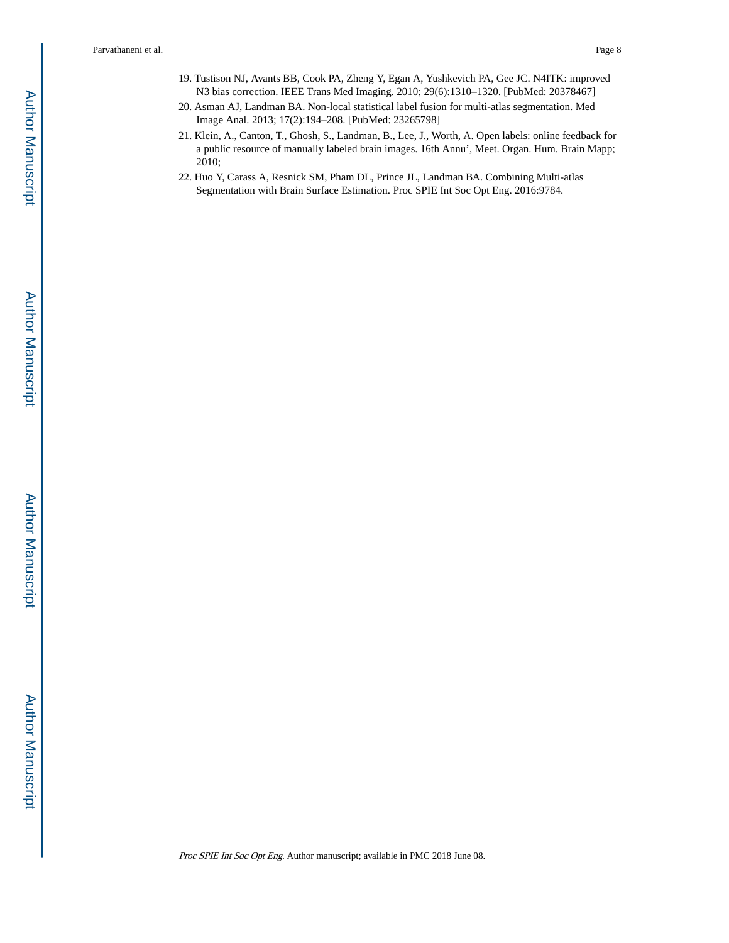- 19. Tustison NJ, Avants BB, Cook PA, Zheng Y, Egan A, Yushkevich PA, Gee JC. N4ITK: improved N3 bias correction. IEEE Trans Med Imaging. 2010; 29(6):1310–1320. [PubMed: 20378467]
- 20. Asman AJ, Landman BA. Non-local statistical label fusion for multi-atlas segmentation. Med Image Anal. 2013; 17(2):194–208. [PubMed: 23265798]
- 21. Klein, A., Canton, T., Ghosh, S., Landman, B., Lee, J., Worth, A. Open labels: online feedback for a public resource of manually labeled brain images. 16th Annu', Meet. Organ. Hum. Brain Mapp; 2010;
- 22. Huo Y, Carass A, Resnick SM, Pham DL, Prince JL, Landman BA. Combining Multi-atlas Segmentation with Brain Surface Estimation. Proc SPIE Int Soc Opt Eng. 2016:9784.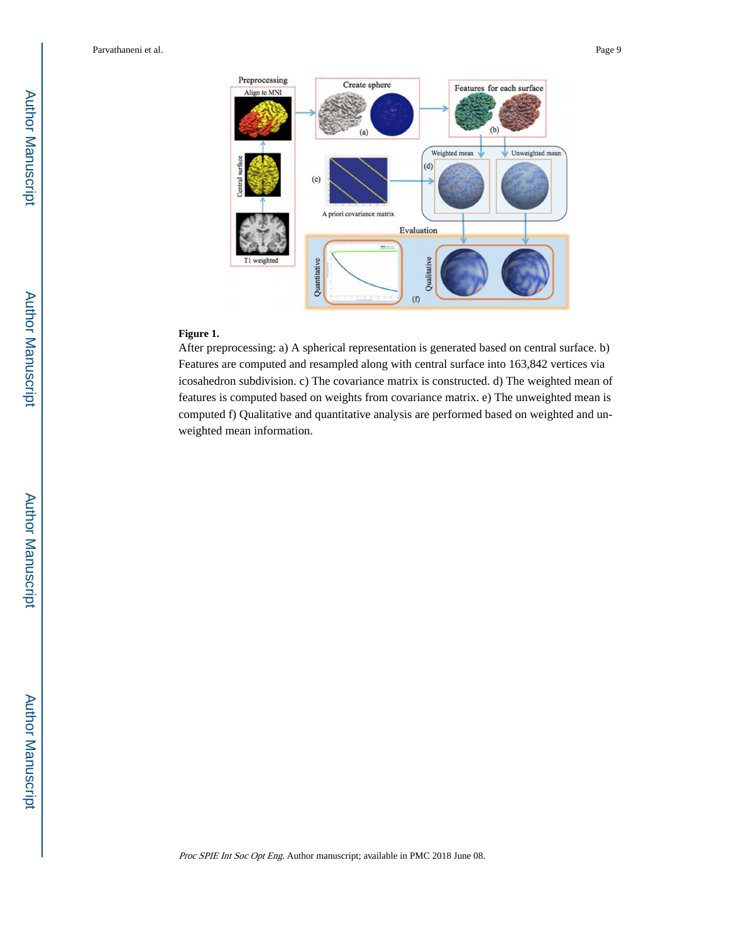

### **Figure 1.**

After preprocessing: a) A spherical representation is generated based on central surface. b) Features are computed and resampled along with central surface into 163,842 vertices via icosahedron subdivision. c) The covariance matrix is constructed. d) The weighted mean of features is computed based on weights from covariance matrix. e) The unweighted mean is computed f) Qualitative and quantitative analysis are performed based on weighted and unweighted mean information.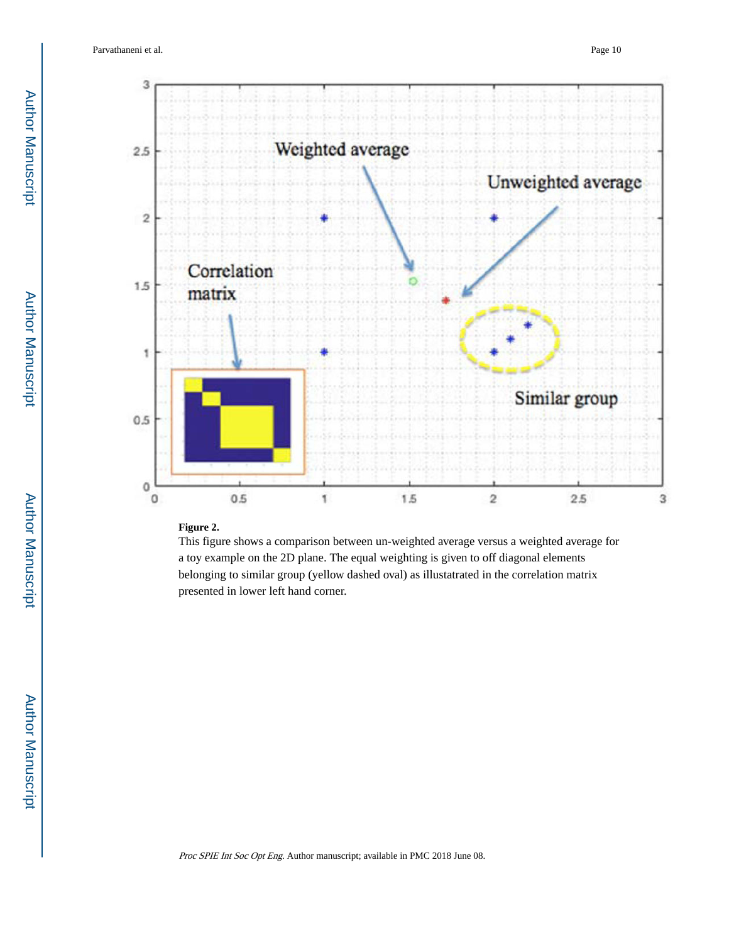

#### **Figure 2.**

This figure shows a comparison between un-weighted average versus a weighted average for a toy example on the 2D plane. The equal weighting is given to off diagonal elements belonging to similar group (yellow dashed oval) as illustatrated in the correlation matrix presented in lower left hand corner.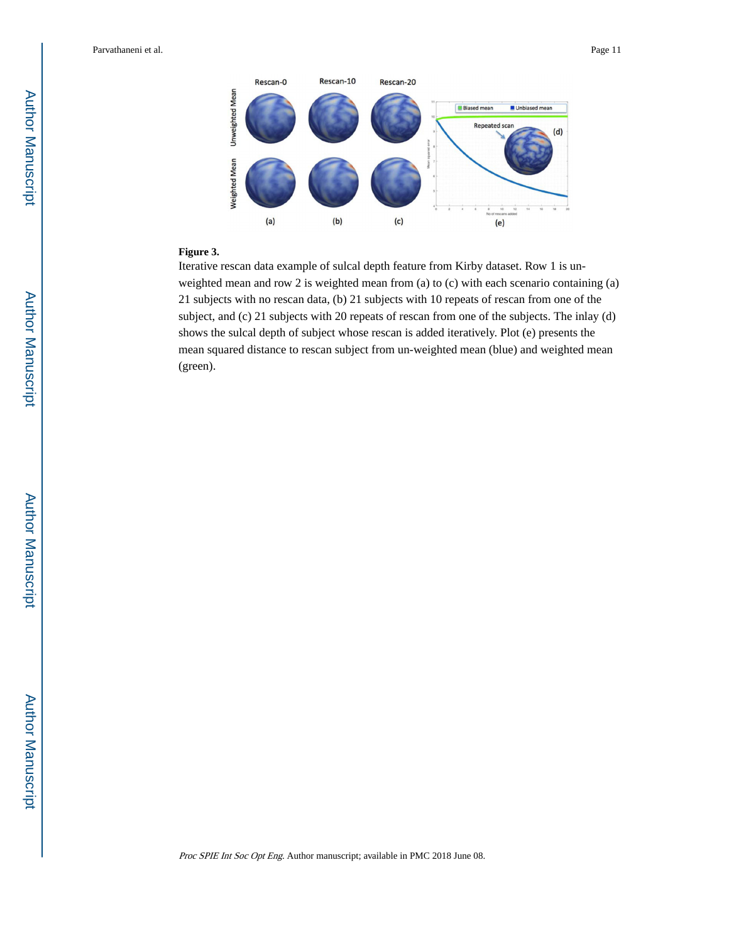

#### **Figure 3.**

Iterative rescan data example of sulcal depth feature from Kirby dataset. Row 1 is unweighted mean and row 2 is weighted mean from (a) to (c) with each scenario containing (a) 21 subjects with no rescan data, (b) 21 subjects with 10 repeats of rescan from one of the subject, and (c) 21 subjects with 20 repeats of rescan from one of the subjects. The inlay (d) shows the sulcal depth of subject whose rescan is added iteratively. Plot (e) presents the mean squared distance to rescan subject from un-weighted mean (blue) and weighted mean (green).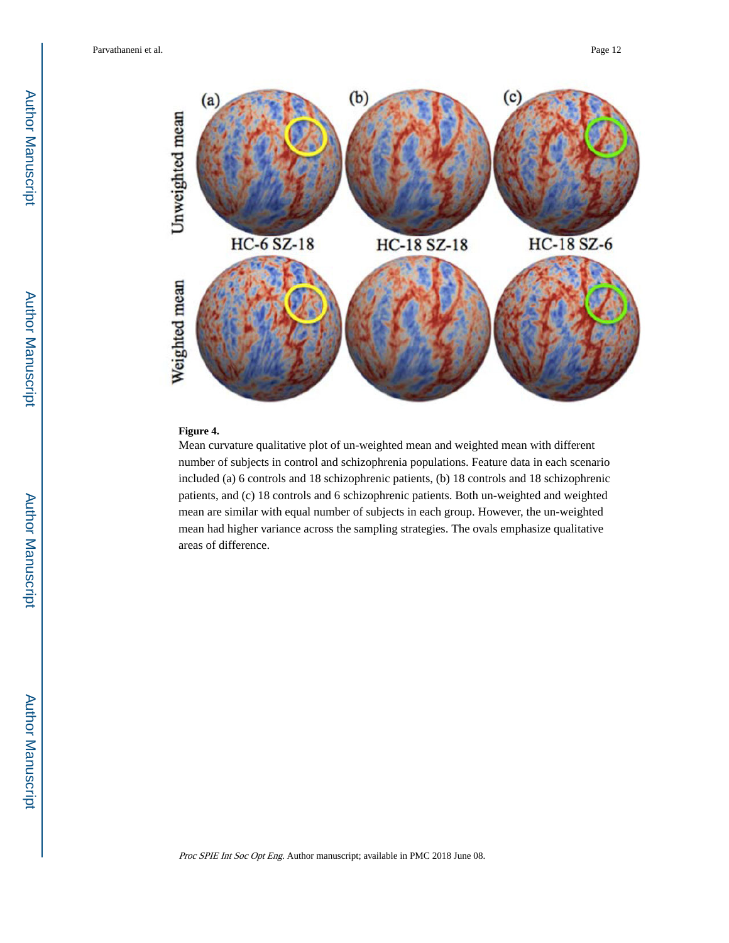

## **Figure 4.**

Mean curvature qualitative plot of un-weighted mean and weighted mean with different number of subjects in control and schizophrenia populations. Feature data in each scenario included (a) 6 controls and 18 schizophrenic patients, (b) 18 controls and 18 schizophrenic patients, and (c) 18 controls and 6 schizophrenic patients. Both un-weighted and weighted mean are similar with equal number of subjects in each group. However, the un-weighted mean had higher variance across the sampling strategies. The ovals emphasize qualitative areas of difference.